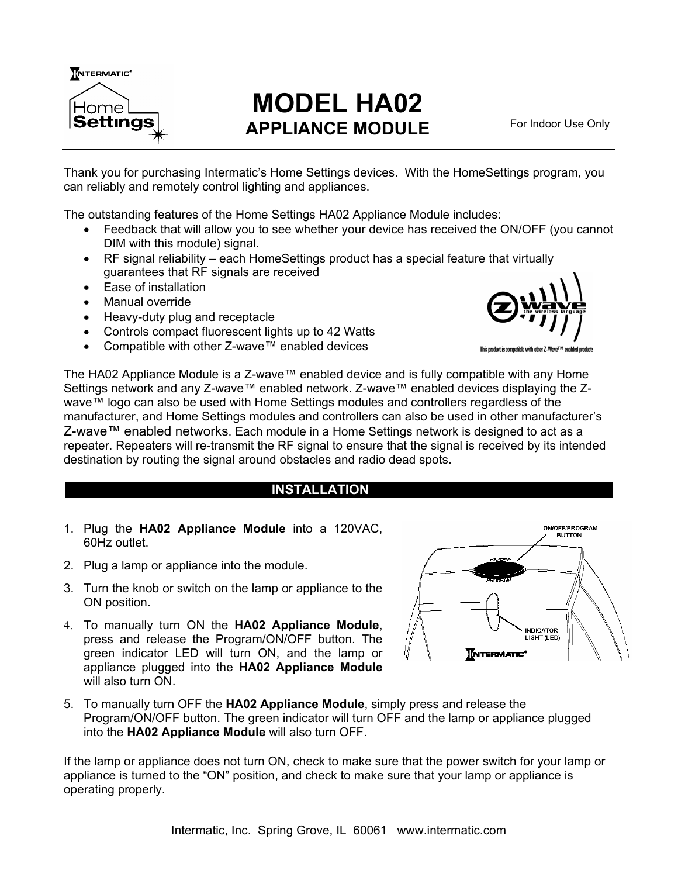

# **MODEL HA02 APPLIANCE MODULE**

For Indoor Use Only

Thank you for purchasing Intermatic's Home Settings devices. With the HomeSettings program, you can reliably and remotely control lighting and appliances.

The outstanding features of the Home Settings HA02 Appliance Module includes:

- Feedback that will allow you to see whether your device has received the ON/OFF (you cannot DIM with this module) signal.
- RF signal reliability each HomeSettings product has a special feature that virtually guarantees that RF signals are received
- Ease of installation
- Manual override
- Heavy-duty plug and receptacle
- Controls compact fluorescent lights up to 42 Watts
- Compatible with other Z-wave™ enabled devices



The HA02 Appliance Module is a Z-wave™ enabled device and is fully compatible with any Home Settings network and any Z-wave™ enabled network. Z-wave™ enabled devices displaying the Zwave™ logo can also be used with Home Settings modules and controllers regardless of the manufacturer, and Home Settings modules and controllers can also be used in other manufacturer's Z-wave™ enabled networks. Each module in a Home Settings network is designed to act as a repeater. Repeaters will re-transmit the RF signal to ensure that the signal is received by its intended destination by routing the signal around obstacles and radio dead spots.

## **INSTALLATION \_**

- 1. Plug the **HA02 Appliance Module** into a 120VAC, 60Hz outlet.
- 2. Plug a lamp or appliance into the module.
- 3. Turn the knob or switch on the lamp or appliance to the ON position.
- 4. To manually turn ON the **HA02 Appliance Module**, press and release the Program/ON/OFF button. The green indicator LED will turn ON, and the lamp or appliance plugged into the **HA02 Appliance Module** will also turn ON



5. To manually turn OFF the **HA02 Appliance Module**, simply press and release the Program/ON/OFF button. The green indicator will turn OFF and the lamp or appliance plugged into the **HA02 Appliance Module** will also turn OFF.

If the lamp or appliance does not turn ON, check to make sure that the power switch for your lamp or appliance is turned to the "ON" position, and check to make sure that your lamp or appliance is operating properly.